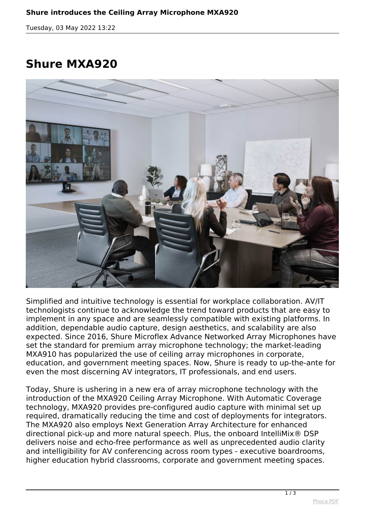*Tuesday, 03 May 2022 13:22*

## **Shure MXA920**



*Simplified and intuitive technology is essential for workplace collaboration. AV/IT technologists continue to acknowledge the trend toward products that are easy to implement in any space and are seamlessly compatible with existing platforms. In addition, dependable audio capture, design aesthetics, and scalability are also expected. Since 2016, Shure Microflex Advance Networked Array Microphones have set the standard for premium array microphone technology; the market-leading MXA910 has popularized the use of ceiling array microphones in corporate, education, and government meeting spaces. Now, Shure is ready to up-the-ante for even the most discerning AV integrators, IT professionals, and end users.*

*Today, Shure is ushering in a new era of array microphone technology with the introduction of the MXA920 Ceiling Array Microphone. With Automatic Coverage technology, MXA920 provides pre-configured audio capture with minimal set up required, dramatically reducing the time and cost of deployments for integrators. The MXA920 also employs Next Generation Array Architecture for enhanced directional pick-up and more natural speech. Plus, the onboard IntelliMix® DSP delivers noise and echo-free performance as well as unprecedented audio clarity and intelligibility for AV conferencing across room types - executive boardrooms, higher education hybrid classrooms, corporate and government meeting spaces.*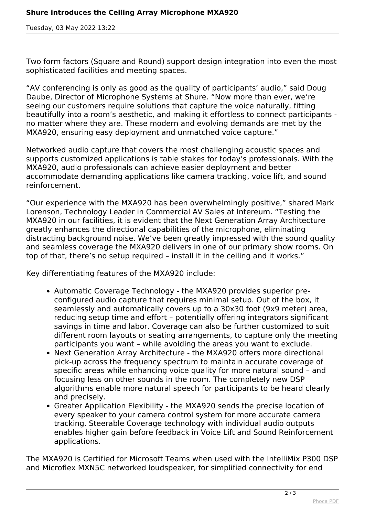*Tuesday, 03 May 2022 13:22*

*Two form factors (Square and Round) support design integration into even the most sophisticated facilities and meeting spaces.*

*"AV conferencing is only as good as the quality of participants' audio," said Doug Daube, Director of Microphone Systems at Shure. "Now more than ever, we're seeing our customers require solutions that capture the voice naturally, fitting beautifully into a room's aesthetic, and making it effortless to connect participants no matter where they are. These modern and evolving demands are met by the MXA920, ensuring easy deployment and unmatched voice capture."*

*Networked audio capture that covers the most challenging acoustic spaces and supports customized applications is table stakes for today's professionals. With the MXA920, audio professionals can achieve easier deployment and better accommodate demanding applications like camera tracking, voice lift, and sound reinforcement.*

*"Our experience with the MXA920 has been overwhelmingly positive," shared Mark Lorenson, Technology Leader in Commercial AV Sales at Intereum. "Testing the MXA920 in our facilities, it is evident that the Next Generation Array Architecture greatly enhances the directional capabilities of the microphone, eliminating distracting background noise. We've been greatly impressed with the sound quality and seamless coverage the MXA920 delivers in one of our primary show rooms. On top of that, there's no setup required – install it in the ceiling and it works."*

*Key differentiating features of the MXA920 include:*

- *Automatic Coverage Technology the MXA920 provides superior preconfigured audio capture that requires minimal setup. Out of the box, it seamlessly and automatically covers up to a 30x30 foot (9x9 meter) area, reducing setup time and effort – potentially offering integrators significant savings in time and labor. Coverage can also be further customized to suit different room layouts or seating arrangements, to capture only the meeting participants you want – while avoiding the areas you want to exclude.*
- *Next Generation Array Architecture the MXA920 offers more directional pick-up across the frequency spectrum to maintain accurate coverage of specific areas while enhancing voice quality for more natural sound – and focusing less on other sounds in the room. The completely new DSP algorithms enable more natural speech for participants to be heard clearly and precisely.*
- *Greater Application Flexibility the MXA920 sends the precise location of every speaker to your camera control system for more accurate camera tracking. Steerable Coverage technology with individual audio outputs enables higher gain before feedback in Voice Lift and Sound Reinforcement applications.*

*The MXA920 is Certified for Microsoft Teams when used with the IntelliMix P300 DSP and Microflex MXN5C networked loudspeaker, for simplified connectivity for end*